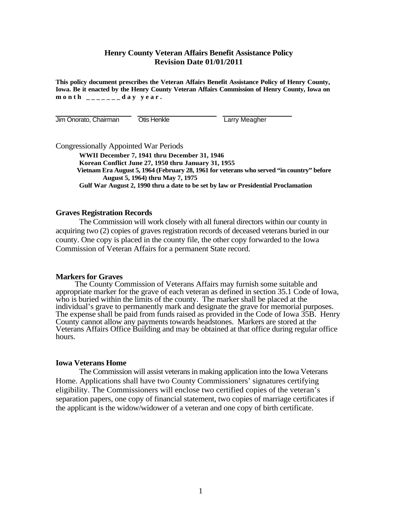## **Henry County Veteran Affairs Benefit Assistance Policy Revision Date 01/01/2011**

**This policy document prescribes the Veteran Affairs Benefit Assistance Policy of Henry County, Iowa. Be it enacted by the Henry County Veteran Affairs Commission of Henry County, Iowa on month \_\_\_\_\_\_\_day year.** 

Jim Onorato, Chairman Otis Henkle Larry Meagher

Congressionally Appointed War Periods

**WWII December 7, 1941 thru December 31, 1946 Korean Conflict June 27, 1950 thru January 31, 1955 Vietnam Era August 5, 1964 (February 28, 1961 for veterans who served "in country" before August 5, 1964) thru May 7, 1975 Gulf War August 2, 1990 thru a date to be set by law or Presidential Proclamation** 

## **Graves Registration Records**

The Commission will work closely with all funeral directors within our county in acquiring two (2) copies of graves registration records of deceased veterans buried in our county. One copy is placed in the county file, the other copy forwarded to the Iowa Commission of Veteran Affairs for a permanent State record.

## **Markers for Graves**

 The County Commission of Veterans Affairs may furnish some suitable and appropriate marker for the grave of each veteran as defined in section 35.1 Code of Iowa, who is buried within the limits of the county. The marker shall be placed at the individual's grave to permanently mark and designate the grave for memorial purposes. The expense shall be paid from funds raised as provided in the Code of Iowa 35B. Henry County cannot allow any payments towards headstones. Markers are stored at the Veterans Affairs Office Building and may be obtained at that office during regular office hours.

## **Iowa Veterans Home**

The Commission will assist veterans in making application into the Iowa Veterans Home. Applications shall have two County Commissioners' signatures certifying eligibility. The Commissioners will enclose two certified copies of the veteran's separation papers, one copy of financial statement, two copies of marriage certificates if the applicant is the widow/widower of a veteran and one copy of birth certificate.